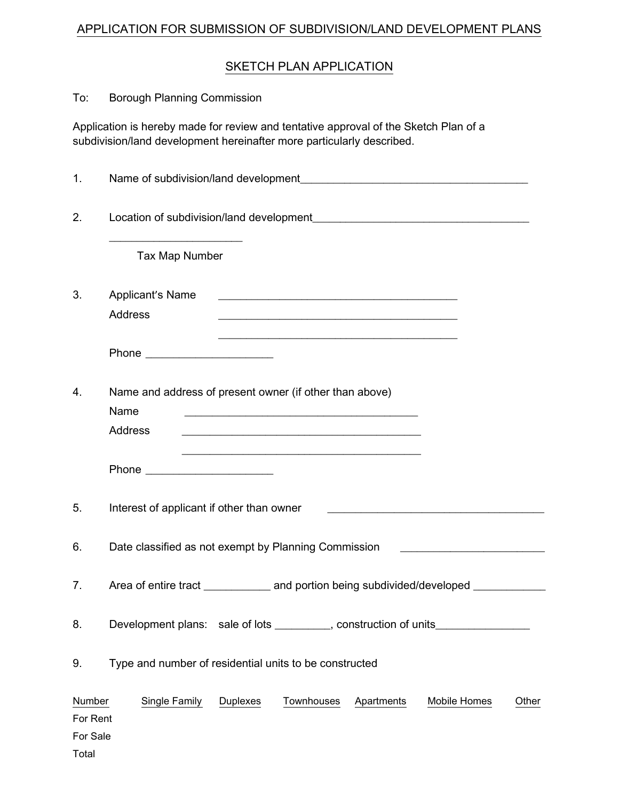## APPLICATION FOR SUBMISSION OF SUBDIVISION/LAND DEVELOPMENT PLANS

## SKETCH PLAN APPLICATION

| To:                                     | <b>Borough Planning Commission</b>                                                                                                                            |  |  |  |  |
|-----------------------------------------|---------------------------------------------------------------------------------------------------------------------------------------------------------------|--|--|--|--|
|                                         | Application is hereby made for review and tentative approval of the Sketch Plan of a<br>subdivision/land development hereinafter more particularly described. |  |  |  |  |
| 1.                                      |                                                                                                                                                               |  |  |  |  |
| 2.                                      |                                                                                                                                                               |  |  |  |  |
|                                         | Tax Map Number                                                                                                                                                |  |  |  |  |
| 3.                                      | Applicant's Name<br><u> 1980 - Johann Barn, amerikansk politiker (d. 1980)</u><br><b>Address</b>                                                              |  |  |  |  |
|                                         | Phone _________________________                                                                                                                               |  |  |  |  |
| 4.                                      | Name and address of present owner (if other than above)<br>Name<br><b>Address</b><br><u> 1989 - Johann Stoff, amerikansk politiker (* 1908)</u>               |  |  |  |  |
|                                         | <u> 2000 - Jan Barnett, amerikansk politik (d. 1982)</u>                                                                                                      |  |  |  |  |
| 5.                                      | Interest of applicant if other than owner                                                                                                                     |  |  |  |  |
| 6.                                      | Date classified as not exempt by Planning Commission                                                                                                          |  |  |  |  |
| 7.                                      | Area of entire tract ______________ and portion being subdivided/developed ___________                                                                        |  |  |  |  |
| 8.                                      | Development plans: sale of lots _________, construction of units________________                                                                              |  |  |  |  |
| 9.                                      | Type and number of residential units to be constructed                                                                                                        |  |  |  |  |
| Number<br>For Rent<br>For Sale<br>Total | <b>Single Family</b><br>Duplexes<br>Townhouses<br>Mobile Homes<br>Apartments<br>Other                                                                         |  |  |  |  |